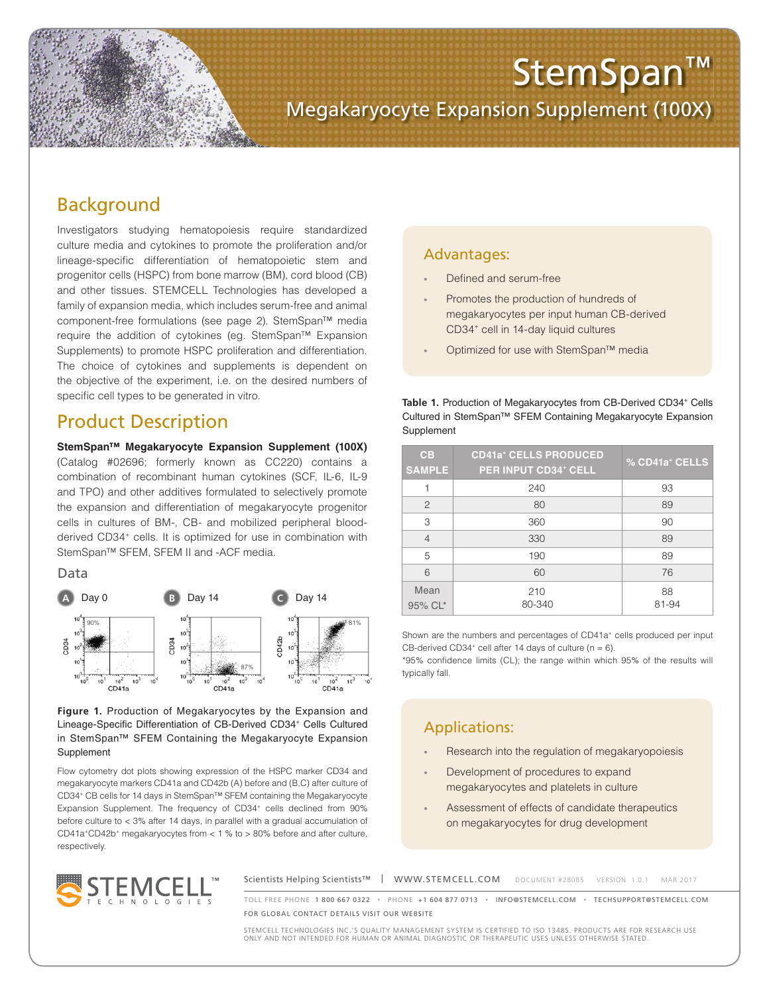

# Megakaryocyte Expansion Supplement (100X)

## Background

Investigators studying hematopoiesis require standardized culture media and cytokines to promote the proliferation and/or lineage-specific differentiation of hematopoietic stem and progenitor cells (HSPC) from bone marrow (BM), cord blood (CB) and other tissues. STEMCELL Technologies has developed a family of expansion media, which includes serum-free and animal component-free formulations (see page 2). StemSpan™ media require the addition of cytokines (eg. StemSpan™ Expansion Supplements) to promote HSPC proliferation and differentiation. The choice of cytokines and supplements is dependent on the objective of the experiment, i.e. on the desired numbers of specific cell types to be generated in vitro.

## Product Description

**StemSpan™ Megakaryocyte Expansion Supplement (100X)** (Catalog #02696; formerly known as CC220) contains a combination of recombinant human cytokines (SCF, IL-6, IL-9 and TPO) and other additives formulated to selectively promote the expansion and differentiation of megakaryocyte progenitor cells in cultures of BM-, CB- and mobilized peripheral bloodderived CD34<sup>+</sup> cells. It is optimized for use in combination with StemSpan™ SFEM, SFEM II and -ACF media.

Data



**Figure 1.** Production of Megakaryocytes by the Expansion and Lineage-Specific Differentiation of CB-Derived CD34<sup>+</sup> Cells Cultured in StemSpan™ SFEM Containing the Megakaryocyte Expansion Supplement

Flow cytometry dot plots showing expression of the HSPC marker CD34 and megakaryocyte markers CD41a and CD42b (A) before and (B,C) after culture of CD34+ CB cells for 14 days in StemSpan™ SFEM containing the Megakaryocyte Expansion Supplement. The frequency of CD34<sup>+</sup> cells declined from 90% before culture to < 3% after 14 days, in parallel with a gradual accumulation of  $CD41a^+CD42b^+$  megakaryocytes from  $< 1 %$  to  $> 80%$  before and after culture, respectively.

### Advantages:

- Defined and serum-free
- Promotes the production of hundreds of megakaryocytes per input human CB-derived CD34+ cell in 14-day liquid cultures
- Optimized for use with StemSpan™ media

**Table 1.** Production of Megakaryocytes from CB-Derived CD34<sup>+</sup> Cells<br>Cultured in StamSpan™ SEEM Containing Megakar results Expension Cultured in StemSpan™ SFEM Containing Megakaryocyte Expansion Supplement

| CB<br><b>SAMPLE</b> | <b>CD41a<sup>+</sup> CELLS PRODUCED</b><br><b>PER INPUT CD34+ CELL</b> | % CD41a <sup>+</sup> CELLS |
|---------------------|------------------------------------------------------------------------|----------------------------|
| 1                   | 240                                                                    | 93                         |
| $\overline{2}$      | 80                                                                     | 89                         |
| 3                   | 360                                                                    | 90                         |
| $\overline{4}$      | 330                                                                    | 89                         |
| 5                   | 190                                                                    | 89                         |
| 6                   | 60                                                                     | 76                         |
| Mean<br>95% CL*     | 210<br>80-340                                                          | 88<br>81-94                |

Shown are the numbers and percentages of CD41a<sup>+</sup> cells produced per input CB-derived CD34 $^+$  cell after 14 days of culture ( $n = 6$ ).

\*95% confidence limits (CL); the range within which 95% of the results will typically fall.

### Applications:

- Research into the regulation of megakaryopoiesis
- Development of procedures to expand megakaryocytes and platelets in culture
- Assessment of effects of candidate therapeutics on megakaryocytes for drug development



Scientists Helping Scientists™ | WWW.STEMCELL.COM DOCUMENT #28085 VERSION 1.0.1 MAR 2017

TOLL FREE PHONE 1 800 667 0322 • PHONE +1 604 877 0713 • INFO@STEMCELL.COM • TECHSUPPORT@STEMCELL.COM FOR GLOBAL CONTACT DETAILS VISIT OUR WEBSITE

STEMCELL TECHNOLOGIES INC.'S QUALITY MANAGEMENT SYSTEM IS CERTIFIED TO ISO 13485. PRODUCTS ARE FOR RESEARCH USE ONLY AND NOT INTENDED FOR HUMAN OR ANIMAL DIAGNOSTIC OR THERAPEUTIC USES UNLESS OTHERWISE STATED.